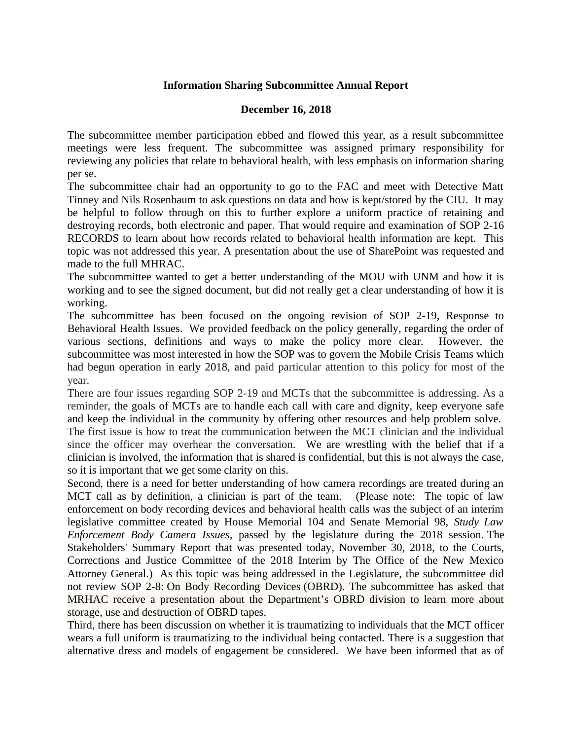## **Information Sharing Subcommittee Annual Report**

## **December 16, 2018**

The subcommittee member participation ebbed and flowed this year, as a result subcommittee meetings were less frequent. The subcommittee was assigned primary responsibility for reviewing any policies that relate to behavioral health, with less emphasis on information sharing per se.

The subcommittee chair had an opportunity to go to the FAC and meet with Detective Matt Tinney and Nils Rosenbaum to ask questions on data and how is kept/stored by the CIU. It may be helpful to follow through on this to further explore a uniform practice of retaining and destroying records, both electronic and paper. That would require and examination of SOP 2-16 RECORDS to learn about how records related to behavioral health information are kept. This topic was not addressed this year. A presentation about the use of SharePoint was requested and made to the full MHRAC.

The subcommittee wanted to get a better understanding of the MOU with UNM and how it is working and to see the signed document, but did not really get a clear understanding of how it is working.

The subcommittee has been focused on the ongoing revision of SOP 2-19, Response to Behavioral Health Issues. We provided feedback on the policy generally, regarding the order of various sections, definitions and ways to make the policy more clear. However, the subcommittee was most interested in how the SOP was to govern the Mobile Crisis Teams which had begun operation in early 2018, and paid particular attention to this policy for most of the year.

There are four issues regarding SOP 2-19 and MCTs that the subcommittee is addressing. As a reminder, the goals of MCTs are to handle each call with care and dignity, keep everyone safe and keep the individual in the community by offering other resources and help problem solve. The first issue is how to treat the communication between the MCT clinician and the individual since the officer may overhear the conversation. We are wrestling with the belief that if a

clinician is involved, the information that is shared is confidential, but this is not always the case, so it is important that we get some clarity on this.

Second, there is a need for better understanding of how camera recordings are treated during an MCT call as by definition, a clinician is part of the team. (Please note: The topic of law enforcement on body recording devices and behavioral health calls was the subject of an interim legislative committee created by House Memorial 104 and Senate Memorial 98, *Study Law Enforcement Body Camera Issues*, passed by the legislature during the 2018 session. The Stakeholders' Summary Report that was presented today, November 30, 2018, to the Courts, Corrections and Justice Committee of the 2018 Interim by The Office of the New Mexico Attorney General.) As this topic was being addressed in the Legislature, the subcommittee did not review SOP 2-8: On Body Recording Devices (OBRD). The subcommittee has asked that MRHAC receive a presentation about the Department's OBRD division to learn more about storage, use and destruction of OBRD tapes.

Third, there has been discussion on whether it is traumatizing to individuals that the MCT officer wears a full uniform is traumatizing to the individual being contacted. There is a suggestion that alternative dress and models of engagement be considered. We have been informed that as of